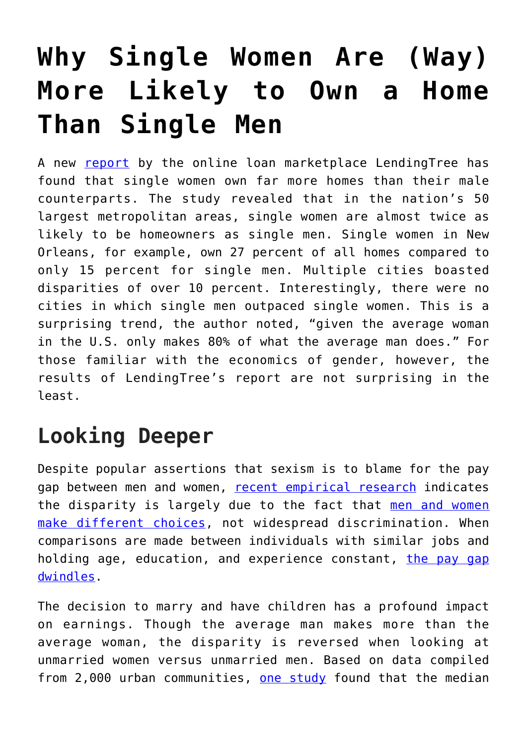## **[Why Single Women Are \(Way\)](https://intellectualtakeout.org/2019/01/why-single-women-are-way-more-likely-to-own-a-home-than-single-men/) [More Likely to Own a Home](https://intellectualtakeout.org/2019/01/why-single-women-are-way-more-likely-to-own-a-home-than-single-men/) [Than Single Men](https://intellectualtakeout.org/2019/01/why-single-women-are-way-more-likely-to-own-a-home-than-single-men/)**

A new [report](https://www.lendingtree.com/home/mortgage/homeownership-gender-gap-study/) by the online loan marketplace LendingTree has found that single women own far more homes than their male counterparts. The study revealed that in the nation's 50 largest metropolitan areas, single women are almost twice as likely to be homeowners as single men. Single women in New Orleans, for example, own 27 percent of all homes compared to only 15 percent for single men. Multiple cities boasted disparities of over 10 percent. Interestingly, there were no cities in which single men outpaced single women. This is a surprising trend, the author noted, "given the average woman in the U.S. only makes 80% of what the average man does." For those familiar with the economics of gender, however, the results of LendingTree's report are not surprising in the least.

## **Looking Deeper**

Despite popular assertions that sexism is to blame for the pay gap between men and women, [recent empirical research](https://fee.org/articles/the-equal-pay-myth-that-just-wont-die/) indicates the disparity is largely due to the fact that [men and women](https://fee.org/articles/harvard-study-gender-pay-gap-explained-entirely-by-work-choices-of-men-and-women/) [make different choices,](https://fee.org/articles/harvard-study-gender-pay-gap-explained-entirely-by-work-choices-of-men-and-women/) not widespread discrimination. When comparisons are made between individuals with similar jobs and holding age, education, and experience constant, [the pay gap](https://fee.org/articles/truth-and-myth-on-the-gender-pay-gap/) [dwindles.](https://fee.org/articles/truth-and-myth-on-the-gender-pay-gap/)

The decision to marry and have children has a profound impact on earnings. Though the average man makes more than the average woman, the disparity is reversed when looking at unmarried women versus unmarried men. Based on data compiled from 2,000 urban communities, [one study](http://content.time.com/time/business/article/0,8599,2015274,00.html) found that the median